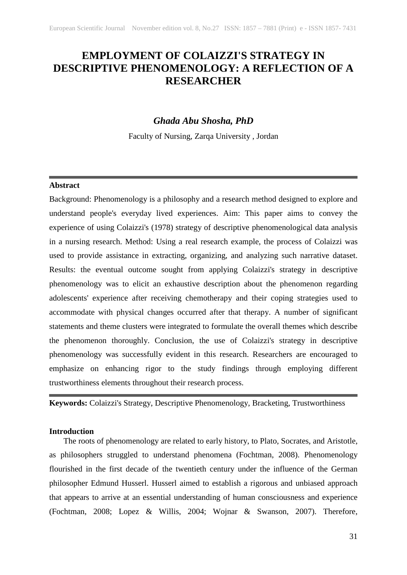# **EMPLOYMENT OF COLAIZZI'S STRATEGY IN DESCRIPTIVE PHENOMENOLOGY: A REFLECTION OF A RESEARCHER**

# *Ghada Abu Shosha, PhD*

Faculty of Nursing, Zarqa University , Jordan

### **Abstract**

Background: Phenomenology is a philosophy and a research method designed to explore and understand people's everyday lived experiences. Aim: This paper aims to convey the experience of using Colaizzi's (1978) strategy of descriptive phenomenological data analysis in a nursing research. Method: Using a real research example, the process of Colaizzi was used to provide assistance in extracting, organizing, and analyzing such narrative dataset. Results: the eventual outcome sought from applying Colaizzi's strategy in descriptive phenomenology was to elicit an exhaustive description about the phenomenon regarding adolescents' experience after receiving chemotherapy and their coping strategies used to accommodate with physical changes occurred after that therapy. A number of significant statements and theme clusters were integrated to formulate the overall themes which describe the phenomenon thoroughly. Conclusion, the use of Colaizzi's strategy in descriptive phenomenology was successfully evident in this research. Researchers are encouraged to emphasize on enhancing rigor to the study findings through employing different trustworthiness elements throughout their research process.

**Keywords:** Colaizzi's Strategy, Descriptive Phenomenology, Bracketing, Trustworthiness

### **Introduction**

The roots of phenomenology are related to early history, to Plato, Socrates, and Aristotle, as philosophers struggled to understand phenomena (Fochtman, 2008). Phenomenology flourished in the first decade of the twentieth century under the influence of the German philosopher Edmund Husserl. Husserl aimed to establish a rigorous and unbiased approach that appears to arrive at an essential understanding of human consciousness and experience (Fochtman, 2008; Lopez & Willis, 2004; Wojnar & Swanson, 2007). Therefore,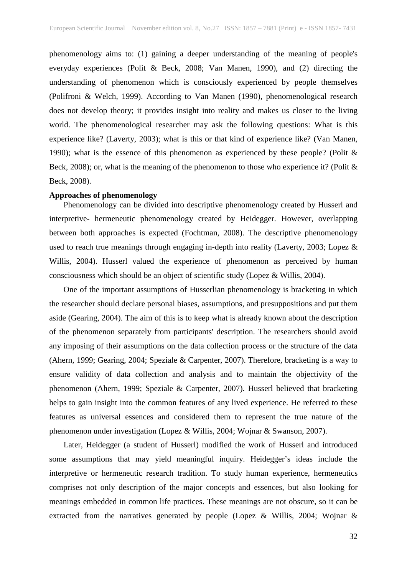phenomenology aims to: (1) gaining a deeper understanding of the meaning of people's everyday experiences (Polit & Beck, 2008; Van Manen, 1990), and (2) directing the understanding of phenomenon which is consciously experienced by people themselves (Polifroni & Welch, 1999). According to Van Manen (1990), phenomenological research does not develop theory; it provides insight into reality and makes us closer to the living world. The phenomenological researcher may ask the following questions: What is this experience like? (Laverty, 2003); what is this or that kind of experience like? (Van Manen, 1990); what is the essence of this phenomenon as experienced by these people? (Polit & Beck, 2008); or, what is the meaning of the phenomenon to those who experience it? (Polit & Beck, 2008).

#### **Approaches of phenomenology**

 Phenomenology can be divided into descriptive phenomenology created by Husserl and interpretive- hermeneutic phenomenology created by Heidegger. However, overlapping between both approaches is expected (Fochtman, 2008). The descriptive phenomenology used to reach true meanings through engaging in-depth into reality (Laverty, 2003; Lopez & Willis, 2004). Husserl valued the experience of phenomenon as perceived by human consciousness which should be an object of scientific study (Lopez & Willis, 2004).

 One of the important assumptions of Husserlian phenomenology is bracketing in which the researcher should declare personal biases, assumptions, and presuppositions and put them aside (Gearing, 2004). The aim of this is to keep what is already known about the description of the phenomenon separately from participants' description. The researchers should avoid any imposing of their assumptions on the data collection process or the structure of the data (Ahern, 1999; Gearing, 2004; Speziale & Carpenter, 2007). Therefore, bracketing is a way to ensure validity of data collection and analysis and to maintain the objectivity of the phenomenon (Ahern, 1999; Speziale & Carpenter, 2007). Husserl believed that bracketing helps to gain insight into the common features of any lived experience. He referred to these features as universal essences and considered them to represent the true nature of the phenomenon under investigation (Lopez & Willis, 2004; Wojnar & Swanson, 2007).

 Later, Heidegger (a student of Husserl) modified the work of Husserl and introduced some assumptions that may yield meaningful inquiry. Heidegger's ideas include the interpretive or hermeneutic research tradition. To study human experience, hermeneutics comprises not only description of the major concepts and essences, but also looking for meanings embedded in common life practices. These meanings are not obscure, so it can be extracted from the narratives generated by people (Lopez & Willis, 2004; Wojnar &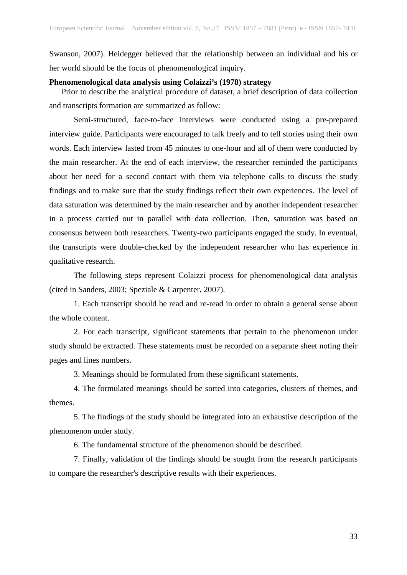Swanson, 2007). Heidegger believed that the relationship between an individual and his or her world should be the focus of phenomenological inquiry.

### **Phenomenological data analysis using Colaizzi's (1978) strategy**

 Prior to describe the analytical procedure of dataset, a brief description of data collection and transcripts formation are summarized as follow:

Semi-structured, face-to-face interviews were conducted using a pre-prepared interview guide. Participants were encouraged to talk freely and to tell stories using their own words. Each interview lasted from 45 minutes to one-hour and all of them were conducted by the main researcher. At the end of each interview, the researcher reminded the participants about her need for a second contact with them via telephone calls to discuss the study findings and to make sure that the study findings reflect their own experiences. The level of data saturation was determined by the main researcher and by another independent researcher in a process carried out in parallel with data collection. Then, saturation was based on consensus between both researchers. Twenty-two participants engaged the study. In eventual, the transcripts were double-checked by the independent researcher who has experience in qualitative research.

The following steps represent Colaizzi process for phenomenological data analysis (cited in Sanders, 2003; Speziale & Carpenter, 2007).

1. Each transcript should be read and re-read in order to obtain a general sense about the whole content.

2. For each transcript, significant statements that pertain to the phenomenon under study should be extracted. These statements must be recorded on a separate sheet noting their pages and lines numbers.

3. Meanings should be formulated from these significant statements.

4. The formulated meanings should be sorted into categories, clusters of themes, and themes.

5. The findings of the study should be integrated into an exhaustive description of the phenomenon under study.

6. The fundamental structure of the phenomenon should be described.

7. Finally, validation of the findings should be sought from the research participants to compare the researcher's descriptive results with their experiences.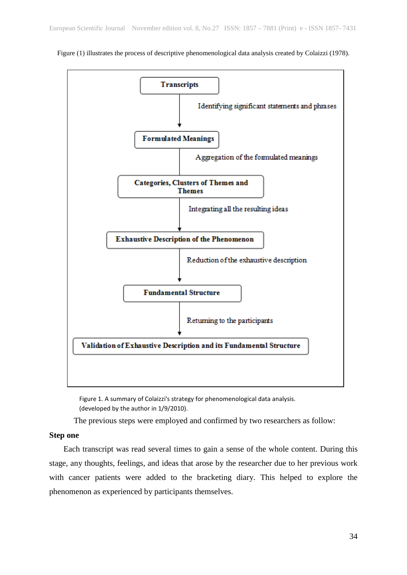

Figure (1) illustrates the process of descriptive phenomenological data analysis created by Colaizzi (1978).

Figure 1*.* A summary of Colaizzi's strategy for phenomenological data analysis. (developed by the author in 1/9/2010).

The previous steps were employed and confirmed by two researchers as follow:

### **Step one**

 Each transcript was read several times to gain a sense of the whole content. During this stage, any thoughts, feelings, and ideas that arose by the researcher due to her previous work with cancer patients were added to the bracketing diary. This helped to explore the phenomenon as experienced by participants themselves.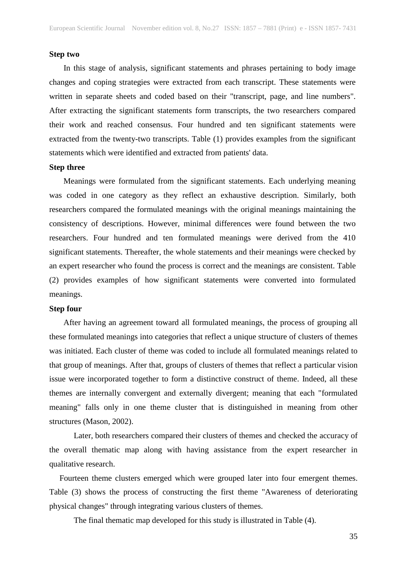### **Step two**

 In this stage of analysis, significant statements and phrases pertaining to body image changes and coping strategies were extracted from each transcript. These statements were written in separate sheets and coded based on their "transcript, page, and line numbers". After extracting the significant statements form transcripts, the two researchers compared their work and reached consensus. Four hundred and ten significant statements were extracted from the twenty-two transcripts. Table (1) provides examples from the significant statements which were identified and extracted from patients' data.

### **Step three**

 Meanings were formulated from the significant statements. Each underlying meaning was coded in one category as they reflect an exhaustive description. Similarly, both researchers compared the formulated meanings with the original meanings maintaining the consistency of descriptions. However, minimal differences were found between the two researchers. Four hundred and ten formulated meanings were derived from the 410 significant statements. Thereafter, the whole statements and their meanings were checked by an expert researcher who found the process is correct and the meanings are consistent. Table (2) provides examples of how significant statements were converted into formulated meanings.

### **Step four**

 After having an agreement toward all formulated meanings, the process of grouping all these formulated meanings into categories that reflect a unique structure of clusters of themes was initiated. Each cluster of theme was coded to include all formulated meanings related to that group of meanings. After that, groups of clusters of themes that reflect a particular vision issue were incorporated together to form a distinctive construct of theme. Indeed, all these themes are internally convergent and externally divergent; meaning that each "formulated meaning" falls only in one theme cluster that is distinguished in meaning from other structures (Mason, 2002).

Later, both researchers compared their clusters of themes and checked the accuracy of the overall thematic map along with having assistance from the expert researcher in qualitative research.

 Fourteen theme clusters emerged which were grouped later into four emergent themes. Table (3) shows the process of constructing the first theme "Awareness of deteriorating physical changes" through integrating various clusters of themes.

The final thematic map developed for this study is illustrated in Table (4).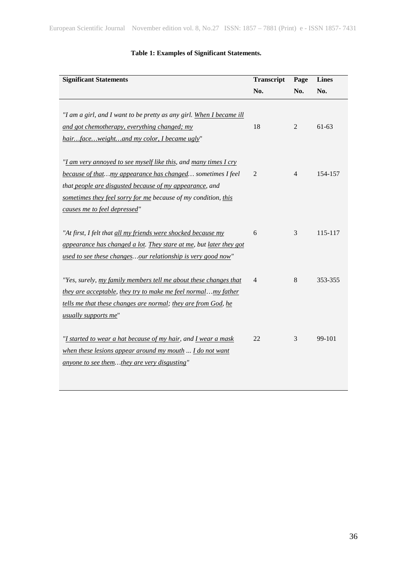# **Table 1: Examples of Significant Statements.**

| <b>Significant Statements</b>                                        | <b>Transcript</b> | Page           | <b>Lines</b> |
|----------------------------------------------------------------------|-------------------|----------------|--------------|
|                                                                      | No.               | No.            | No.          |
|                                                                      |                   |                |              |
| "I am a girl, and I want to be pretty as any girl. When I became ill |                   |                |              |
| and got chemotherapy, everything changed; my                         | 18                | $\overline{2}$ | $61-63$      |
| hairfaceweightand my color, I became ugly"                           |                   |                |              |
|                                                                      |                   |                |              |
| "I am very annoyed to see myself like this, and many times I cry     |                   |                |              |
| because of thatmy appearance has changed sometimes I feel            | $\overline{2}$    | $\overline{4}$ | 154-157      |
| that people are disgusted because of my appearance, and              |                   |                |              |
| sometimes they feel sorry for me because of my condition, this       |                   |                |              |
| causes me to feel depressed"                                         |                   |                |              |
|                                                                      |                   |                |              |
| "At first, I felt that all my friends were shocked because my        | 6                 | 3              | 115-117      |
| appearance has changed a lot. They stare at me, but later they got   |                   |                |              |
| used to see these changesour relationship is very good now"          |                   |                |              |
|                                                                      |                   |                |              |
| "Yes, surely, my family members tell me about these changes that     | 4                 | 8              | 353-355      |
| they are acceptable, they try to make me feel normalmy father        |                   |                |              |
| tells me that these changes are normal; they are from God, he        |                   |                |              |
| usually supports me"                                                 |                   |                |              |
|                                                                      |                   |                |              |
| "I started to wear a hat because of my hair, and I wear a mask       | 22                | 3              | 99-101       |
| when these lesions appear around my mouth  I do not want             |                   |                |              |
| anyone to see themthey are very disgusting"                          |                   |                |              |
|                                                                      |                   |                |              |
|                                                                      |                   |                |              |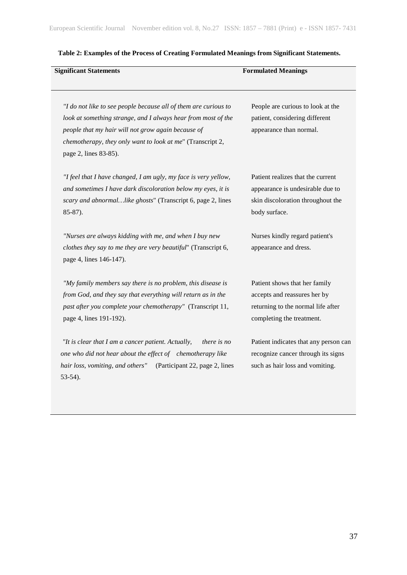| <b>Significant Statements</b>                                                                                                                                                                                                                                                 | <b>Formulated Meanings</b>                                                                                                       |
|-------------------------------------------------------------------------------------------------------------------------------------------------------------------------------------------------------------------------------------------------------------------------------|----------------------------------------------------------------------------------------------------------------------------------|
| "I do not like to see people because all of them are curious to<br>look at something strange, and I always hear from most of the<br>people that my hair will not grow again because of<br>chemotherapy, they only want to look at me" (Transcript 2,<br>page 2, lines 83-85). | People are curious to look at the<br>patient, considering different<br>appearance than normal.                                   |
| "I feel that I have changed, I am ugly, my face is very yellow,<br>and sometimes I have dark discoloration below my eyes, it is<br>scary and abnormallike ghosts" (Transcript 6, page 2, lines<br>$85-87$ ).                                                                  | Patient realizes that the current<br>appearance is undesirable due to<br>skin discoloration throughout the<br>body surface.      |
| "Nurses are always kidding with me, and when I buy new<br>clothes they say to me they are very beautiful" (Transcript 6,<br>page 4, lines 146-147).                                                                                                                           | Nurses kindly regard patient's<br>appearance and dress.                                                                          |
| "My family members say there is no problem, this disease is<br>from God, and they say that everything will return as in the<br>past after you complete your chemotherapy" (Transcript 11,<br>page 4, lines 191-192).                                                          | Patient shows that her family<br>accepts and reassures her by<br>returning to the normal life after<br>completing the treatment. |
| "It is clear that I am a cancer patient. Actually,<br><i>there is no</i><br>one who did not hear about the effect of chemotherapy like<br>hair loss, vomiting, and others"<br>(Participant 22, page 2, lines<br>$53-54$ ).                                                    | Patient indicates that any person can<br>recognize cancer through its signs<br>such as hair loss and vomiting.                   |

## **Table 2: Examples of the Process of Creating Formulated Meanings from Significant Statements.**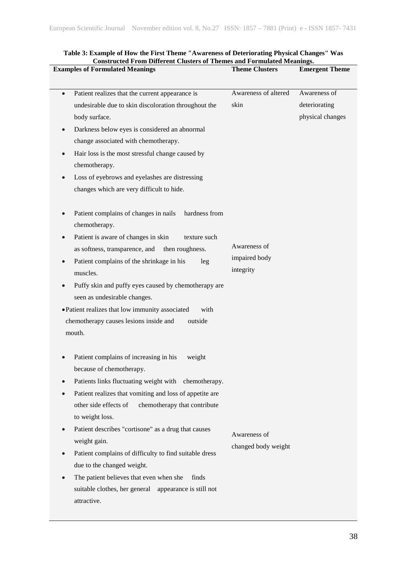| <b>Examples of Formulated Meanings</b>                                                                                                                                                                                                                                                                                                                                                                                                                                                                                                                                                                        | <b>Theme Clusters</b>                      | <b>Emergent Theme</b>                             |
|---------------------------------------------------------------------------------------------------------------------------------------------------------------------------------------------------------------------------------------------------------------------------------------------------------------------------------------------------------------------------------------------------------------------------------------------------------------------------------------------------------------------------------------------------------------------------------------------------------------|--------------------------------------------|---------------------------------------------------|
| Patient realizes that the current appearance is<br>$\bullet$<br>undesirable due to skin discoloration throughout the<br>body surface.<br>Darkness below eyes is considered an abnormal<br>$\bullet$<br>change associated with chemotherapy.<br>Hair loss is the most stressful change caused by<br>$\bullet$<br>chemotherapy.<br>Loss of eyebrows and eyelashes are distressing<br>changes which are very difficult to hide.                                                                                                                                                                                  | Awareness of altered<br>skin               | Awareness of<br>deteriorating<br>physical changes |
| Patient complains of changes in nails<br>hardness from<br>chemotherapy.<br>Patient is aware of changes in skin<br>texture such<br>as softness, transparence, and<br>then roughness.<br>Patient complains of the shrinkage in his<br>leg<br>muscles.<br>Puffy skin and puffy eyes caused by chemotherapy are<br>seen as undesirable changes.<br>• Patient realizes that low immunity associated<br>with<br>chemotherapy causes lesions inside and<br>outside<br>mouth.                                                                                                                                         | Awareness of<br>impaired body<br>integrity |                                                   |
| Patient complains of increasing in his<br>weight<br>because of chemotherapy.<br>Patients links fluctuating weight with chemotherapy.<br>Patient realizes that vomiting and loss of appetite are<br>other side effects of<br>chemotherapy that contribute<br>to weight loss.<br>Patient describes "cortisone" as a drug that causes<br>$\bullet$<br>weight gain.<br>Patient complains of difficulty to find suitable dress<br>$\bullet$<br>due to the changed weight.<br>The patient believes that even when she<br>finds<br>$\bullet$<br>suitable clothes, her general appearance is still not<br>attractive. | Awareness of<br>changed body weight        |                                                   |

### **Table 3: Example of How the First Theme "Awareness of Deteriorating Physical Changes" Was Constructed From Different Clusters of Themes and Formulated Meanings.**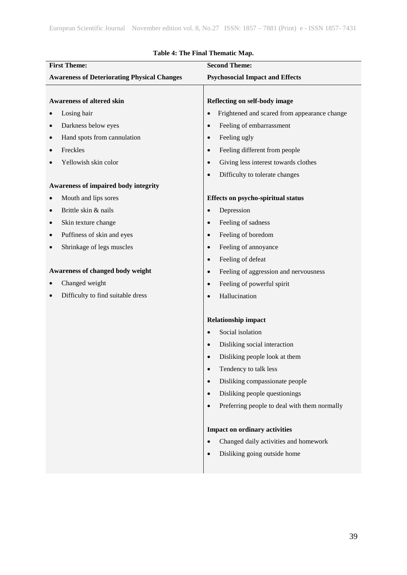| <b>First Theme:</b>                                | <b>Second Theme:</b>                                      |  |
|----------------------------------------------------|-----------------------------------------------------------|--|
| <b>Awareness of Deteriorating Physical Changes</b> | <b>Psychosocial Impact and Effects</b>                    |  |
|                                                    |                                                           |  |
| <b>Awareness of altered skin</b>                   | Reflecting on self-body image                             |  |
| Losing hair                                        | Frightened and scared from appearance change<br>$\bullet$ |  |
| Darkness below eyes                                | Feeling of embarrassment<br>$\bullet$                     |  |
| Hand spots from cannulation                        | Feeling ugly<br>$\bullet$                                 |  |
| Freckles                                           | Feeling different from people<br>$\bullet$                |  |
| Yellowish skin color                               | Giving less interest towards clothes<br>$\bullet$         |  |
|                                                    | Difficulty to tolerate changes<br>$\bullet$               |  |
| Awareness of impaired body integrity               |                                                           |  |
| Mouth and lips sores                               | Effects on psycho-spiritual status                        |  |
| Brittle skin & nails                               | Depression<br>$\bullet$                                   |  |
| Skin texture change                                | Feeling of sadness<br>$\bullet$                           |  |
| Puffiness of skin and eyes                         | Feeling of boredom<br>$\bullet$                           |  |
| Shrinkage of legs muscles                          | Feeling of annoyance<br>$\bullet$                         |  |
|                                                    | Feeling of defeat<br>$\bullet$                            |  |
| Awareness of changed body weight                   | Feeling of aggression and nervousness<br>$\bullet$        |  |
| Changed weight                                     | Feeling of powerful spirit<br>$\bullet$                   |  |
| Difficulty to find suitable dress                  | Hallucination<br>$\bullet$                                |  |
|                                                    |                                                           |  |
|                                                    | <b>Relationship impact</b>                                |  |
|                                                    | Social isolation<br>$\bullet$                             |  |
|                                                    | Disliking social interaction<br>$\bullet$                 |  |
|                                                    | Disliking people look at them<br>$\bullet$                |  |
|                                                    | Tendency to talk less<br>$\bullet$                        |  |
|                                                    | Disliking compassionate people<br>$\bullet$               |  |
|                                                    | Disliking people questionings<br>$\bullet$                |  |
|                                                    | Preferring people to deal with them normally<br>$\bullet$ |  |
|                                                    |                                                           |  |
|                                                    | Impact on ordinary activities                             |  |
|                                                    | Changed daily activities and homework<br>$\bullet$        |  |
|                                                    | Disliking going outside home<br>$\bullet$                 |  |
|                                                    |                                                           |  |

# **Table 4: The Final Thematic Map.**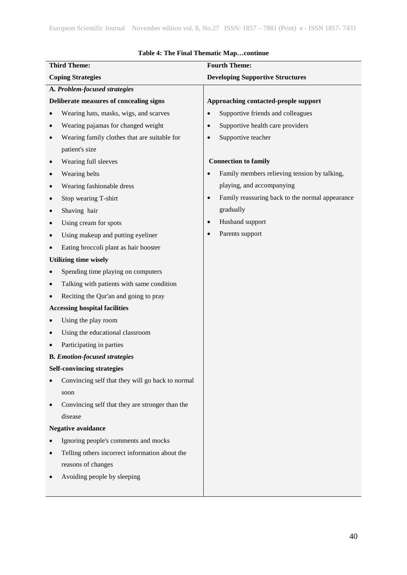|           | <b>Third Theme:</b>                              |                                         | <b>Fourth Theme:</b>                            |
|-----------|--------------------------------------------------|-----------------------------------------|-------------------------------------------------|
|           | <b>Coping Strategies</b>                         | <b>Developing Supportive Structures</b> |                                                 |
|           | A. Problem-focused strategies                    |                                         |                                                 |
|           | Deliberate measures of concealing signs          |                                         | Approaching contacted-people support            |
|           | Wearing hats, masks, wigs, and scarves           | $\bullet$                               | Supportive friends and colleagues               |
| $\bullet$ | Wearing pajamas for changed weight               | $\bullet$                               | Supportive health care providers                |
|           | Wearing family clothes that are suitable for     | $\bullet$                               | Supportive teacher                              |
|           | patient's size                                   |                                         |                                                 |
|           | Wearing full sleeves                             |                                         | <b>Connection to family</b>                     |
|           | Wearing belts                                    | $\bullet$                               | Family members relieving tension by talking,    |
|           | Wearing fashionable dress                        |                                         | playing, and accompanying                       |
|           | Stop wearing T-shirt                             | $\bullet$                               | Family reassuring back to the normal appearance |
|           | Shaving hair                                     |                                         | gradually                                       |
|           | Using cream for spots                            | $\bullet$                               | Husband support                                 |
|           | Using makeup and putting eyeliner                | $\bullet$                               | Parents support                                 |
|           | Eating broccoli plant as hair booster            |                                         |                                                 |
|           | <b>Utilizing time wisely</b>                     |                                         |                                                 |
|           | Spending time playing on computers               |                                         |                                                 |
|           | Talking with patients with same condition        |                                         |                                                 |
|           | Reciting the Qur'an and going to pray            |                                         |                                                 |
|           | <b>Accessing hospital facilities</b>             |                                         |                                                 |
|           | Using the play room                              |                                         |                                                 |
|           | Using the educational classroom                  |                                         |                                                 |
|           | Participating in parties                         |                                         |                                                 |
|           | <b>B.</b> Emotion-focused strategies             |                                         |                                                 |
|           | <b>Self-convincing strategies</b>                |                                         |                                                 |
|           | Convincing self that they will go back to normal |                                         |                                                 |
|           | soon                                             |                                         |                                                 |
|           | Convincing self that they are stronger than the  |                                         |                                                 |
|           | disease                                          |                                         |                                                 |
|           | <b>Negative avoidance</b>                        |                                         |                                                 |
|           | Ignoring people's comments and mocks             |                                         |                                                 |
|           | Telling others incorrect information about the   |                                         |                                                 |
|           | reasons of changes                               |                                         |                                                 |
|           | Avoiding people by sleeping                      |                                         |                                                 |
|           |                                                  |                                         |                                                 |

### **Table 4: The Final Thematic Map…continue**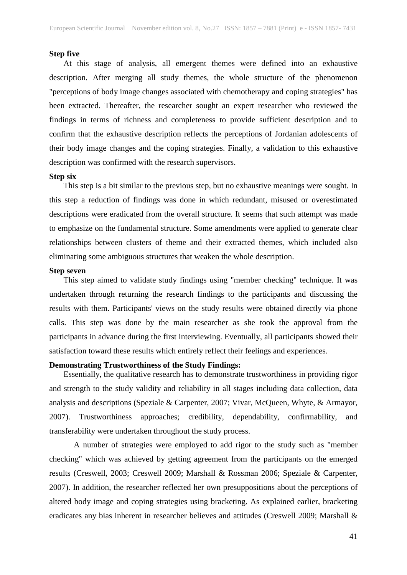#### **Step five**

 At this stage of analysis, all emergent themes were defined into an exhaustive description. After merging all study themes, the whole structure of the phenomenon "perceptions of body image changes associated with chemotherapy and coping strategies" has been extracted. Thereafter, the researcher sought an expert researcher who reviewed the findings in terms of richness and completeness to provide sufficient description and to confirm that the exhaustive description reflects the perceptions of Jordanian adolescents of their body image changes and the coping strategies. Finally, a validation to this exhaustive description was confirmed with the research supervisors.

### **Step six**

 This step is a bit similar to the previous step, but no exhaustive meanings were sought. In this step a reduction of findings was done in which redundant, misused or overestimated descriptions were eradicated from the overall structure. It seems that such attempt was made to emphasize on the fundamental structure. Some amendments were applied to generate clear relationships between clusters of theme and their extracted themes, which included also eliminating some ambiguous structures that weaken the whole description.

#### **Step seven**

 This step aimed to validate study findings using "member checking" technique. It was undertaken through returning the research findings to the participants and discussing the results with them. Participants' views on the study results were obtained directly via phone calls. This step was done by the main researcher as she took the approval from the participants in advance during the first interviewing. Eventually, all participants showed their satisfaction toward these results which entirely reflect their feelings and experiences.

### **Demonstrating Trustworthiness of the Study Findings:**

 Essentially, the qualitative research has to demonstrate trustworthiness in providing rigor and strength to the study validity and reliability in all stages including data collection, data analysis and descriptions (Speziale & Carpenter, 2007; Vivar, McQueen, Whyte, & Armayor, 2007). Trustworthiness approaches; credibility, dependability, confirmability, and transferability were undertaken throughout the study process.

A number of strategies were employed to add rigor to the study such as "member checking" which was achieved by getting agreement from the participants on the emerged results (Creswell, 2003; Creswell 2009; Marshall & Rossman 2006; Speziale & Carpenter, 2007). In addition, the researcher reflected her own presuppositions about the perceptions of altered body image and coping strategies using bracketing. As explained earlier, bracketing eradicates any bias inherent in researcher believes and attitudes (Creswell 2009; Marshall &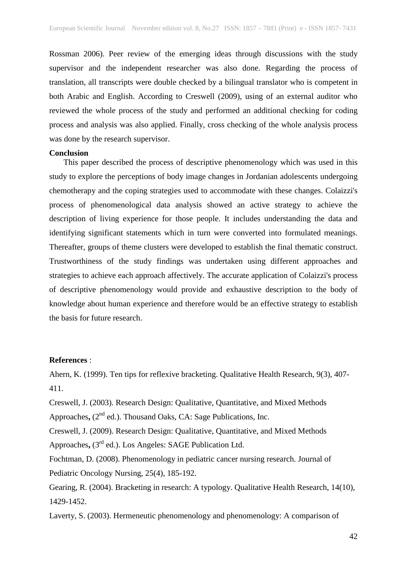Rossman 2006). Peer review of the emerging ideas through discussions with the study supervisor and the independent researcher was also done. Regarding the process of translation, all transcripts were double checked by a bilingual translator who is competent in both Arabic and English. According to Creswell (2009), using of an external auditor who reviewed the whole process of the study and performed an additional checking for coding process and analysis was also applied. Finally, cross checking of the whole analysis process was done by the research supervisor.

#### **Conclusion**

 This paper described the process of descriptive phenomenology which was used in this study to explore the perceptions of body image changes in Jordanian adolescents undergoing chemotherapy and the coping strategies used to accommodate with these changes. Colaizzi's process of phenomenological data analysis showed an active strategy to achieve the description of living experience for those people. It includes understanding the data and identifying significant statements which in turn were converted into formulated meanings. Thereafter, groups of theme clusters were developed to establish the final thematic construct. Trustworthiness of the study findings was undertaken using different approaches and strategies to achieve each approach affectively. The accurate application of Colaizzi's process of descriptive phenomenology would provide and exhaustive description to the body of knowledge about human experience and therefore would be an effective strategy to establish the basis for future research.

#### **References** :

Ahern, K. (1999). Ten tips for reflexive bracketing. Qualitative Health Research, 9(3), 407- 411.

Creswell, J. (2003). Research Design: Qualitative, Quantitative, and Mixed Methods Approaches,  $(2^{nd}$  ed.). Thousand Oaks, CA: Sage Publications, Inc.

Creswell, J. (2009). Research Design: Qualitative, Quantitative, and Mixed Methods Approaches**,** (3rd ed.). Los Angeles: SAGE Publication Ltd.

Fochtman, D. (2008). Phenomenology in pediatric cancer nursing research. Journal of Pediatric Oncology Nursing, 25(4), 185-192.

Gearing, R. (2004). Bracketing in research: A typology. Qualitative Health Research, 14(10), 1429-1452.

Laverty, S. (2003). Hermeneutic phenomenology and phenomenology: A comparison of